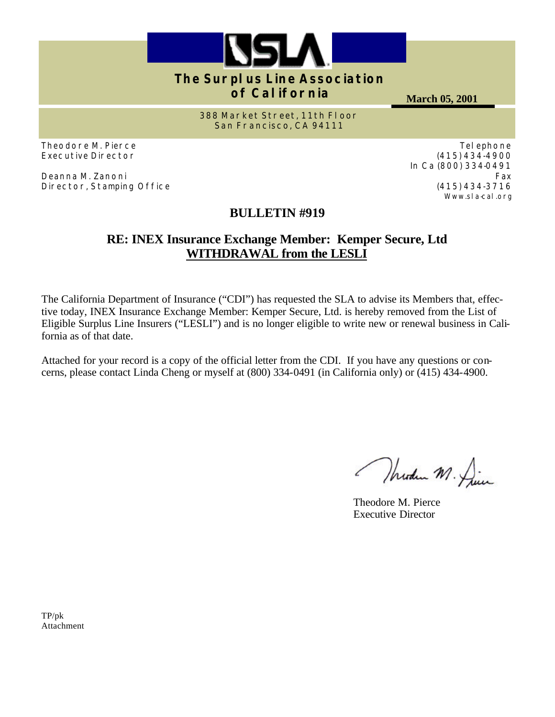

# **The Surplus Line Association of California**

**March 05, 2001**

**388 Market Street, 11th Floor San Francisco, CA 94111**

Theodore M. Pierce Executive Director

Deanna M. Zanoni Director, Stamping Office

# **BULLETIN #919**

## **RE: INEX Insurance Exchange Member: Kemper Secure, Ltd WITHDRAWAL from the LESLI**

The California Department of Insurance ("CDI") has requested the SLA to advise its Members that, effective today, INEX Insurance Exchange Member: Kemper Secure, Ltd. is hereby removed from the List of Eligible Surplus Line Insurers ("LESLI") and is no longer eligible to write new or renewal business in California as of that date.

Attached for your record is a copy of the official letter from the CDI. If you have any questions or concerns, please contact Linda Cheng or myself at (800) 334-0491 (in California only) or (415) 434-4900.

Modern M. Die

Theodore M. Pierce Executive Director

TP/pk Attachment

Telephone (415) 434-4900 In Ca (800) 334-0491 Fax (415) 434-3716 Www.sla-cal.org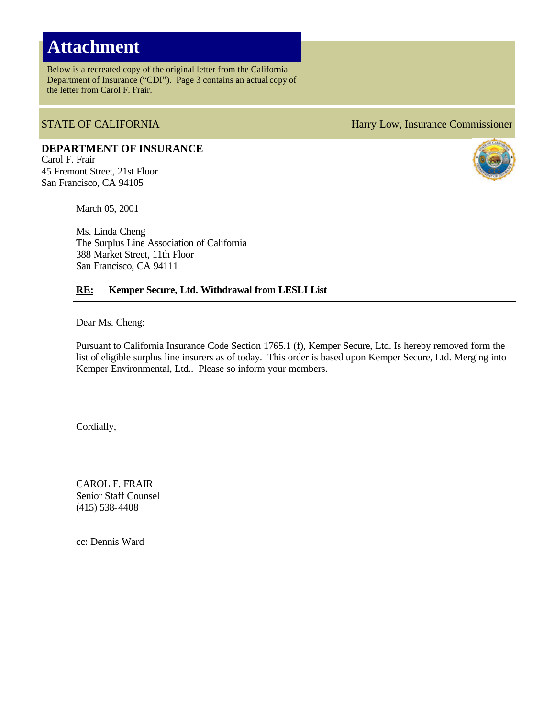# **Attachment**

Below is a recreated copy of the original letter from the California Department of Insurance ("CDI"). Page 3 contains an actual copy of the letter from Carol F. Frair.

**DEPARTMENT OF INSURANCE** Carol F. Frair 45 Fremont Street, 21st Floor San Francisco, CA 94105

March 05, 2001

Ms. Linda Cheng The Surplus Line Association of California 388 Market Street, 11th Floor San Francisco, CA 94111

### **RE: Kemper Secure, Ltd. Withdrawal from LESLI List**

Dear Ms. Cheng:

Pursuant to California Insurance Code Section 1765.1 (f), Kemper Secure, Ltd. Is hereby removed form the list of eligible surplus line insurers as of today. This order is based upon Kemper Secure, Ltd. Merging into Kemper Environmental, Ltd.. Please so inform your members.

Cordially,

CAROL F. FRAIR Senior Staff Counsel (415) 538-4408

cc: Dennis Ward

### STATE OF CALIFORNIA **Harry Low, Insurance Commissioner**